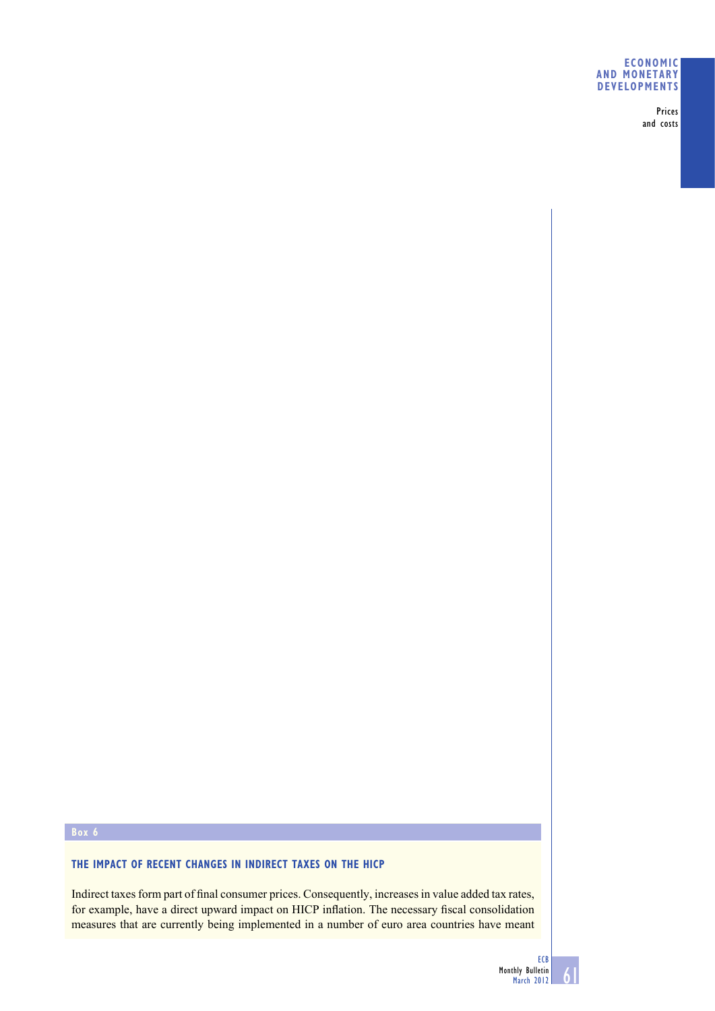## **ECONOMIC AND MONETARY DEVELOPMENTS**

Prices and costs

# **THE IMPACT OF RECENT CHANGES IN INDIRECT TAXES ON THE HICP**

Indirect taxes form part of final consumer prices. Consequently, increases in value added tax rates, for example, have a direct upward impact on HICP inflation. The necessary fiscal consolidation measures that are currently being implemented in a number of euro area countries have meant

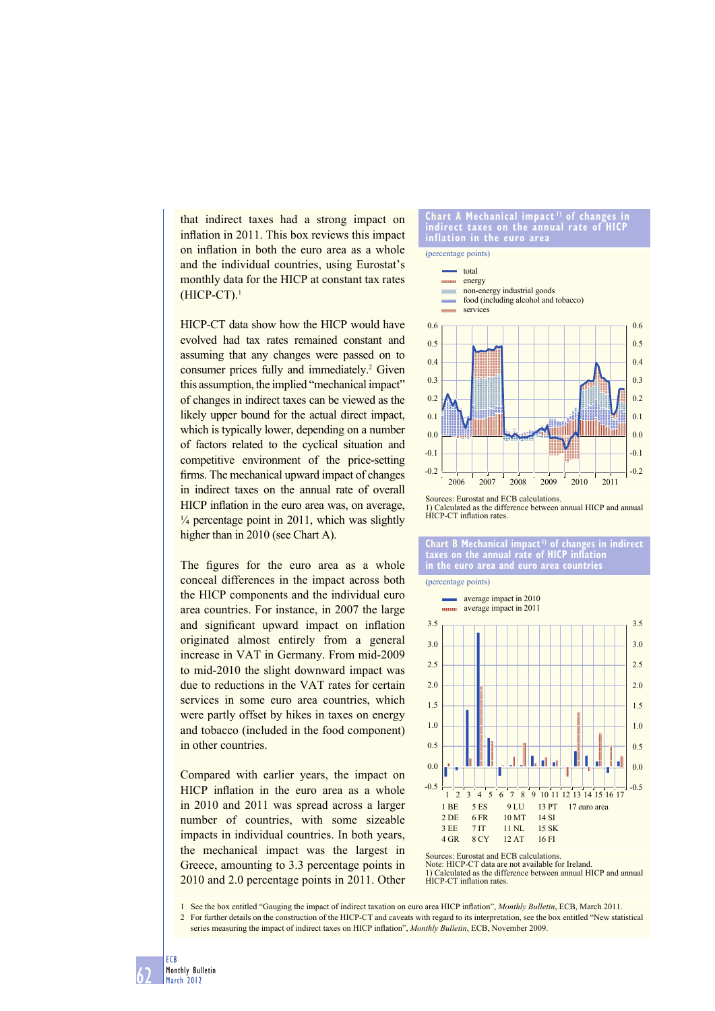that indirect taxes had a strong impact on inflation in 2011. This box reviews this impact on inflation in both the euro area as a whole and the individual countries, using Eurostat's monthly data for the HICP at constant tax rates (HICP-CT).1

HICP-CT data show how the HICP would have evolved had tax rates remained constant and assuming that any changes were passed on to consumer prices fully and immediately.<sup>2</sup> Given this assumption, the implied "mechanical impact" of changes in indirect taxes can be viewed as the likely upper bound for the actual direct impact, which is typically lower, depending on a number of factors related to the cyclical situation and competitive environment of the price-setting firms. The mechanical upward impact of changes in indirect taxes on the annual rate of overall HICP inflation in the euro area was, on average,  $\frac{1}{4}$  percentage point in 2011, which was slightly higher than in 2010 (see Chart A).

The figures for the euro area as a whole conceal differences in the impact across both the HICP components and the individual euro area countries. For instance, in 2007 the large and significant upward impact on inflation originated almost entirely from a general increase in VAT in Germany. From mid-2009 to mid-2010 the slight downward impact was due to reductions in the VAT rates for certain services in some euro area countries, which were partly offset by hikes in taxes on energy and tobacco (included in the food component) in other countries.

Compared with earlier years, the impact on HICP inflation in the euro area as a whole in 2010 and 2011 was spread across a larger number of countries, with some sizeable impacts in individual countries. In both years, the mechanical impact was the largest in Greece, amounting to 3.3 percentage points in 2010 and 2.0 percentage points in 2011. Other

### **Chart A Mechanical impact 1) of changes in indirect taxes on the annual rate of HICP inflation in the euro area**



1) Calculated as the difference between annual HICP and annual HICP-CT inflation rates.

## **Chart B Mechanical impact 1) of changes in indirect taxes on the annual rate of HICP inflation in the euro area and euro area countries**

(percentage points)



Sources: Eurostat and ECB calculations. Note: HICP-CT data are not available for Ireland. 1) Calculated as the difference between annual HICP and annual HICP-CT inflation rates.

1 See the box entitled "Gauging the impact of indirect taxation on euro area HICP infl ation", *Monthly Bulletin*, ECB, March 2011. 2 For further details on the construction of the HICP-CT and caveats with regard to its interpretation, see the box entitled "New statistical

series measuring the impact of indirect taxes on HICP inflation", *Monthly Bulletin*, ECB, November 2009.